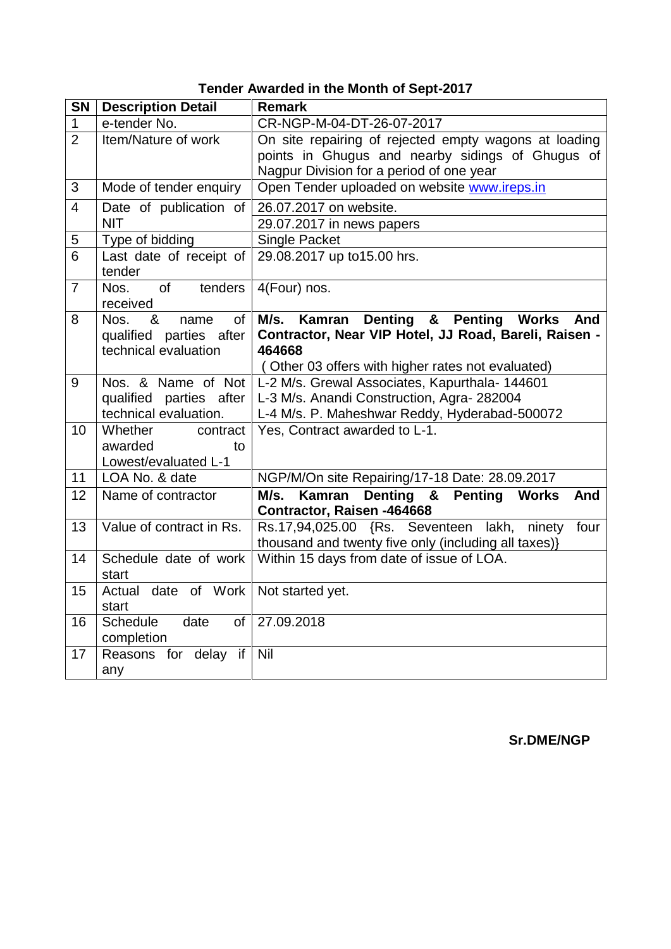|  |  |  |  |  |  | <b>Tender Awarded in the Month of Sept-2017</b> |
|--|--|--|--|--|--|-------------------------------------------------|
|--|--|--|--|--|--|-------------------------------------------------|

| <b>SN</b>      | <b>Description Detail</b>            | <b>Remark</b>                                                                                                            |
|----------------|--------------------------------------|--------------------------------------------------------------------------------------------------------------------------|
| $\mathbf 1$    | e-tender No.                         | CR-NGP-M-04-DT-26-07-2017                                                                                                |
| $\overline{2}$ | Item/Nature of work                  | On site repairing of rejected empty wagons at loading                                                                    |
|                |                                      | points in Ghugus and nearby sidings of Ghugus of                                                                         |
|                |                                      | Nagpur Division for a period of one year                                                                                 |
| 3              | Mode of tender enquiry               | Open Tender uploaded on website www.ireps.in                                                                             |
| $\overline{4}$ | Date of publication of               | 26.07.2017 on website.                                                                                                   |
|                | <b>NIT</b>                           | 29.07.2017 in news papers                                                                                                |
| 5              | Type of bidding                      | <b>Single Packet</b>                                                                                                     |
| 6              | Last date of receipt of<br>tender    | 29.08.2017 up to15.00 hrs.                                                                                               |
| 7              | of<br>tenders<br>Nos.                | 4(Four) nos.                                                                                                             |
|                | received                             |                                                                                                                          |
| 8              | Nos.<br>&<br><b>of</b><br>name       | M/s.<br>&<br>Kamran<br><b>Denting</b><br><b>Penting</b><br><b>Works</b><br>And                                           |
|                | qualified parties after              | Contractor, Near VIP Hotel, JJ Road, Bareli, Raisen -<br>464668                                                          |
|                | technical evaluation                 |                                                                                                                          |
| 9              |                                      | (Other 03 offers with higher rates not evaluated)<br>Nos. & Name of Not   L-2 M/s. Grewal Associates, Kapurthala- 144601 |
|                | qualified parties after              | L-3 M/s. Anandi Construction, Agra- 282004                                                                               |
|                | technical evaluation.                | L-4 M/s. P. Maheshwar Reddy, Hyderabad-500072                                                                            |
| 10             | Whether<br>contract                  | Yes, Contract awarded to L-1.                                                                                            |
|                | awarded<br>to                        |                                                                                                                          |
|                | Lowest/evaluated L-1                 |                                                                                                                          |
| 11             | LOA No. & date                       | NGP/M/On site Repairing/17-18 Date: 28.09.2017                                                                           |
| 12             | Name of contractor                   | M/s. Kamran Denting &<br><b>Penting Works</b><br>And                                                                     |
|                |                                      | Contractor, Raisen -464668                                                                                               |
| 13             | Value of contract in Rs.             | Rs.17,94,025.00 {Rs. Seventeen lakh,<br>ninety<br>four                                                                   |
|                |                                      | thousand and twenty five only (including all taxes)}                                                                     |
| 14             | Schedule date of work                | Within 15 days from date of issue of LOA.                                                                                |
|                | start                                |                                                                                                                          |
| 15             | date of Work<br>Actual<br>start      | Not started yet.                                                                                                         |
| 16             | <b>Schedule</b><br>date<br><b>of</b> | 27.09.2018                                                                                                               |
|                | completion                           |                                                                                                                          |
| 17             | Reasons for delay if                 | Nil                                                                                                                      |
|                | any                                  |                                                                                                                          |

**Sr.DME/NGP**